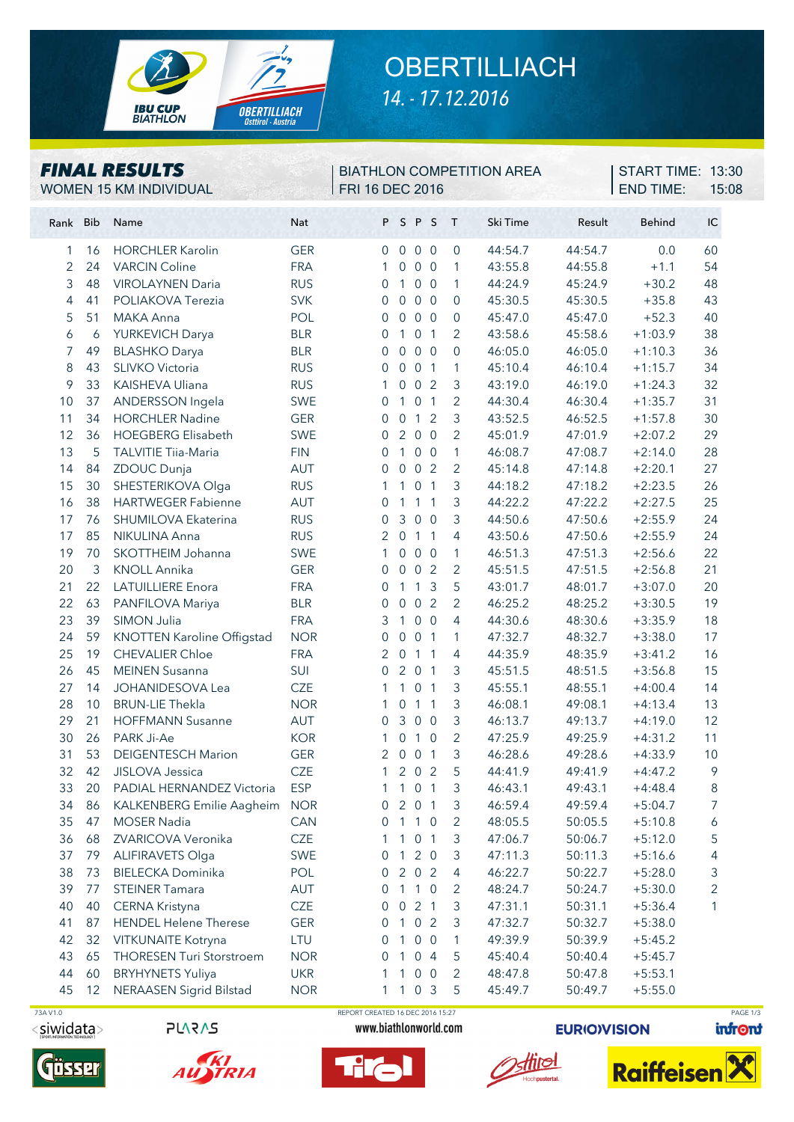

## **OBERTILLIACH** *14. - 17.12.2016*

#### *FINAL RESULTS* WOMEN 15 KM INDIVIDUAL FRI 16 DEC 2016

# BIATHLON COMPETITION AREA

END TIME: 15:08 **START TIME: 13:30** 

| Rank Bib |          | Name                                            | <b>Nat</b>        |                     |                                  | PSPS              |                 | $\top$         | Ski Time           | Result             | <b>Behind</b>          | IC             |
|----------|----------|-------------------------------------------------|-------------------|---------------------|----------------------------------|-------------------|-----------------|----------------|--------------------|--------------------|------------------------|----------------|
| 1        | 16       | <b>HORCHLER Karolin</b>                         | <b>GER</b>        | $\Omega$            |                                  | $0\quad 0\quad 0$ |                 | $\overline{0}$ | 44:54.7            | 44:54.7            | 0.0                    | 60             |
| 2        | 24       | <b>VARCIN Coline</b>                            | <b>FRA</b>        | 1                   | $\overline{0}$                   |                   | 0 <sub>0</sub>  | $\mathbf{1}$   | 43:55.8            | 44:55.8            | $+1.1$                 | 54             |
| 3        | 48       | <b>VIROLAYNEN Daria</b>                         | <b>RUS</b>        | $\mathbf{0}$        | $\mathbf{1}$                     |                   | 0 <sub>0</sub>  | $\mathbf{1}$   | 44:24.9            | 45:24.9            | $+30.2$                | 48             |
| 4        | 41       | POLIAKOVA Terezia                               | <b>SVK</b>        | $\mathbf{0}$        | $\overline{0}$                   |                   | $0\quad 0$      | $\mathbf 0$    | 45:30.5            | 45:30.5            | $+35.8$                | 43             |
| 5        | 51       | MAKA Anna                                       | POL               | $\mathbf{0}$        | $\overline{0}$                   |                   | 0 <sub>0</sub>  | $\overline{0}$ | 45:47.0            | 45:47.0            | $+52.3$                | 40             |
| 6        | 6        | YURKEVICH Darya                                 | <b>BLR</b>        | $\mathbf{0}$        | 1                                | 0 <sub>1</sub>    |                 | 2              | 43:58.6            | 45:58.6            | $+1:03.9$              | 38             |
| 7        | 49       | <b>BLASHKO</b> Darya                            | <b>BLR</b>        | $\mathbf{0}$        | $\mathbf 0$                      |                   | 0 <sub>0</sub>  | $\mathbf 0$    | 46:05.0            | 46:05.0            | $+1:10.3$              | 36             |
| 8        | 43       | SLIVKO Victoria                                 | <b>RUS</b>        | $\mathbf{0}$        | $\overline{0}$                   | 0 <sub>1</sub>    |                 | 1              | 45:10.4            | 46:10.4            | $+1:15.7$              | 34             |
| 9        | 33       | KAISHEVA Uliana                                 | <b>RUS</b>        | 1                   | $\overline{0}$                   |                   | 0 <sub>2</sub>  | 3              | 43:19.0            | 46:19.0            | $+1:24.3$              | 32             |
| 10       | 37       | ANDERSSON Ingela                                | SWE               | $\mathbf{0}$        | $\mathbf{1}$                     |                   | 0 <sub>1</sub>  | $\overline{2}$ | 44:30.4            | 46:30.4            | $+1:35.7$              | 31             |
| 11       | 34       | <b>HORCHLER Nadine</b>                          | <b>GER</b>        | $\mathbf 0$         | $\overline{0}$                   | $\mathbf{1}$      | $\overline{2}$  | $\mathfrak{Z}$ | 43:52.5            | 46:52.5            | $+1:57.8$              | 30             |
| 12       | 36       | <b>HOEGBERG Elisabeth</b>                       | <b>SWE</b>        | $\Omega$            | $\overline{2}$                   |                   | 0 <sub>0</sub>  | $\overline{2}$ | 45:01.9            | 47:01.9            | $+2:07.2$              | 29             |
| 13       | 5        | <b>TALVITIE Tiia-Maria</b>                      | <b>FIN</b>        | $\Omega$            | $\mathbf{1}$                     |                   | $0\quad 0$      | $\mathbf{1}$   | 46:08.7            | 47:08.7            | $+2:14.0$              | 28             |
| 14       | 84       | ZDOUC Dunja                                     | AUT               | $\Omega$            | $\overline{0}$                   |                   | 0 <sub>2</sub>  | $\overline{2}$ | 45:14.8            | 47:14.8            | $+2:20.1$              | 27             |
| 15       | 30       | SHESTERIKOVA Olga                               | <b>RUS</b>        | 1                   | 1                                | 0 <sub>1</sub>    |                 | 3              | 44:18.2            | 47:18.2            | $+2:23.5$              | 26             |
| 16       | 38       | <b>HARTWEGER Fabienne</b>                       | AUT               | $\Omega$            | $\mathbf{1}$                     |                   | $1\quad1$       | $\mathfrak{Z}$ | 44:22.2            | 47:22.2            | $+2:27.5$              | 25             |
| 17       | 76       | SHUMILOVA Ekaterina                             | <b>RUS</b>        | $\Omega$            | 3                                |                   | 0 <sub>0</sub>  | $\mathfrak{Z}$ | 44:50.6            | 47:50.6            | $+2:55.9$              | 24             |
| 17       | 85       | NIKULINA Anna                                   | <b>RUS</b>        | 2                   | $\overline{0}$                   |                   | $1\quad1$       | 4              | 43:50.6            | 47:50.6            | $+2:55.9$              | 24             |
| 19       | 70       | SKOTTHEIM Johanna                               | SWE               | 1                   | $\overline{0}$                   |                   | 0 <sub>0</sub>  | $\mathbf{1}$   | 46:51.3            | 47:51.3            | $+2:56.6$              | 22             |
| 20       | 3        | <b>KNOLL Annika</b>                             | <b>GER</b>        | $\mathbf{0}$        | $\overline{0}$                   |                   | 0 <sub>2</sub>  | $\overline{2}$ | 45:51.5            | 47:51.5            | $+2:56.8$              | 21             |
| 21       | 22       | <b>LATUILLIERE Enora</b>                        | <b>FRA</b>        | $\mathbf{0}$        | $\mathbf{1}$                     | $\mathbf{1}$      | $\mathbf{3}$    | 5              | 43:01.7            | 48:01.7            | $+3:07.0$              | 20             |
| 22       | 63       | PANFILOVA Mariya                                | <b>BLR</b>        | $\mathbf 0$         | $\overline{0}$                   | $\overline{0}$    | 2               | $\overline{2}$ | 46:25.2            | 48:25.2            | $+3:30.5$              | 19             |
| 23       | 39       | SIMON Julia                                     | <b>FRA</b>        | 3                   | $\mathbf{1}$                     |                   | 0 <sub>0</sub>  | 4              | 44:30.6            | 48:30.6            | $+3:35.9$              | 18             |
| 24       | 59       | KNOTTEN Karoline Offigstad                      | <b>NOR</b>        | $\mathbf{0}$        | $\overline{0}$                   | 0 <sub>1</sub>    |                 | 1              | 47:32.7            | 48:32.7            | $+3:38.0$              | 17             |
| 25<br>26 | 19<br>45 | <b>CHEVALIER Chloe</b><br><b>MEINEN Susanna</b> | <b>FRA</b><br>SUI | 2<br>$\overline{0}$ | $\overline{0}$<br>$\overline{2}$ | 0 <sub>1</sub>    | $1\quad1$       | 4<br>3         | 44:35.9<br>45:51.5 | 48:35.9<br>48:51.5 | $+3:41.2$<br>$+3:56.8$ | 16<br>15       |
| 27       | 14       | JOHANIDESOVA Lea                                | <b>CZE</b>        | 1                   | $\mathbf{1}$                     | 0 <sub>1</sub>    |                 | 3              | 45:55.1            | 48:55.1            | $+4:00.4$              | 14             |
| 28       | 10       | <b>BRUN-LIE Thekla</b>                          | <b>NOR</b>        | 1                   | $\overline{0}$                   | $1\quad1$         |                 | 3              | 46:08.1            | 49:08.1            | $+4:13.4$              | 13             |
| 29       | 21       | <b>HOFFMANN Susanne</b>                         | AUT               | $\Omega$            | 3                                |                   | 0 <sub>0</sub>  | 3              | 46:13.7            | 49:13.7            | $+4:19.0$              | 12             |
| 30       | 26       | PARK Ji-Ae                                      | <b>KOR</b>        | 1                   | $\overline{0}$                   |                   | $1\quad0$       | $\overline{2}$ | 47:25.9            | 49:25.9            | $+4:31.2$              | 11             |
| 31       | 53       | <b>DEIGENTESCH Marion</b>                       | <b>GER</b>        | 2                   | $\mathsf{O}\xspace$              | $\overline{0}$    | $\overline{1}$  | 3              | 46:28.6            | 49:28.6            | $+4:33.9$              | 10             |
| 32       | 42       | JISLOVA Jessica                                 | <b>CZE</b>        | 1                   | $\overline{2}$                   | 0 <sub>2</sub>    |                 | 5              | 44:41.9            | 49:41.9            | $+4:47.2$              | 9              |
| 33       | 20       | PADIAL HERNANDEZ Victoria                       | <b>ESP</b>        | 1                   | $\overline{1}$                   | 0 <sub>1</sub>    |                 | 3              | 46:43.1            | 49:43.1            | $+4:48.4$              | 8              |
| 34       | 86       | KALKENBERG Emilie Aagheim                       | <b>NOR</b>        | $\overline{0}$      |                                  | 201               |                 | $\mathfrak{Z}$ | 46:59.4            | 49:59.4            | $+5:04.7$              | $\overline{7}$ |
| 35       | 47       | <b>MOSER Nadia</b>                              | CAN               | 0                   | $\mathbf{1}$                     |                   | $1\quad0$       | 2              | 48:05.5            | 50:05.5            | $+5:10.8$              | 6              |
| 36       | 68       | ZVARICOVA Veronika                              | <b>CZE</b>        | 1                   | 1                                | 0 <sub>1</sub>    |                 | 3              | 47:06.7            | 50:06.7            | $+5:12.0$              | 5              |
| 37       | 79       | <b>ALIFIRAVETS Olga</b>                         | SWE               | $\mathbf 0$         | $\mathbf{1}$                     |                   | $2\overline{0}$ | 3              | 47:11.3            | 50:11.3            | $+5:16.6$              | 4              |
| 38       | 73       | <b>BIELECKA Dominika</b>                        | POL               | $\overline{0}$      |                                  | 202               |                 | 4              | 46:22.7            | 50:22.7            | $+5:28.0$              | 3              |
| 39       | 77       | <b>STEINER Tamara</b>                           | AUT               | $\mathbf 0$         | $\mathbf{1}$                     |                   | $1\quad0$       | 2              | 48:24.7            | 50:24.7            | $+5:30.0$              | $\overline{c}$ |
| 40       | 40       | CERNA Kristyna                                  | <b>CZE</b>        | 0                   | $\overline{0}$                   | 2 <sub>1</sub>    |                 | 3              | 47:31.1            | 50:31.1            | $+5:36.4$              | 1              |
| 41       | 87       | <b>HENDEL Helene Therese</b>                    | <b>GER</b>        | 0                   | $\overline{1}$                   |                   | 0 <sub>2</sub>  | 3              | 47:32.7            | 50:32.7            | $+5:38.0$              |                |
| 42       | 32       | VITKUNAITE Kotryna                              | LTU               | 0                   | $\mathbf{1}$                     |                   | 0 <sub>0</sub>  | 1              | 49:39.9            | 50:39.9            | $+5:45.2$              |                |
| 43       | 65       | <b>THORESEN Turi Storstroem</b>                 | <b>NOR</b>        | 0                   | 1                                |                   | 0 <sub>4</sub>  | 5              | 45:40.4            | 50:40.4            | $+5:45.7$              |                |
| 44       | 60       | <b>BRYHYNETS Yuliya</b>                         | <b>UKR</b>        |                     | 1                                |                   | 0 <sub>0</sub>  | $\overline{2}$ | 48:47.8            | 50:47.8            | $+5:53.1$              |                |
| 45       | 12       | <b>NERAASEN Sigrid Bilstad</b>                  | <b>NOR</b>        | 1.                  |                                  | 103               |                 | 5              | 45:49.7            | 50:49.7            | $+5:55.0$              |                |

 73A V1.0 REPORT CREATED 16 DEC 2016 15:27 PAGE 1/3<siwidata>

**245AJS** 



TRIA



www.biathlonworld.com



**EURIO)VISION** 



infront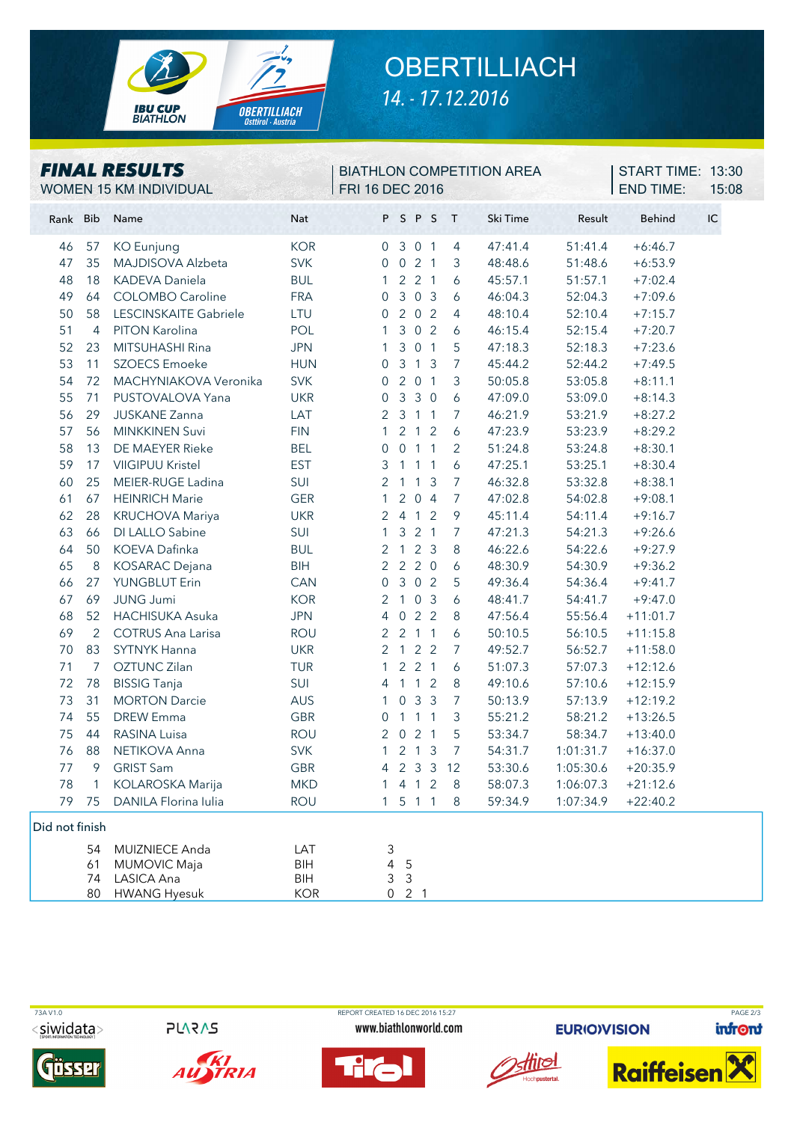

## **OBERTILLIACH** *14. - 17.12.2016*

| <b>FINAL RESULTS</b><br>WOMEN 15 KM INDIVIDUAL |                      |                                                                 |                                        | <b>BIATHLON COMPETITION AREA</b><br><b>FRI 16 DEC 2016</b> |                                                  |                                       |                       |            | START TIME: 13:30<br><b>END TIME:</b> | 15:08                         |                               |                                     |            |
|------------------------------------------------|----------------------|-----------------------------------------------------------------|----------------------------------------|------------------------------------------------------------|--------------------------------------------------|---------------------------------------|-----------------------|------------|---------------------------------------|-------------------------------|-------------------------------|-------------------------------------|------------|
| Rank Bib                                       |                      | Name                                                            | Nat                                    |                                                            |                                                  | PSPS                                  |                       |            | T                                     | Ski Time                      | Result                        | <b>Behind</b>                       | ${\sf IC}$ |
| 46<br>47<br>48                                 | 57<br>35<br>18       | <b>KO</b> Eunjung<br>MAJDISOVA Alzbeta<br><b>KADEVA Daniela</b> | <b>KOR</b><br><b>SVK</b><br><b>BUL</b> |                                                            | $\overline{0}$<br>$\overline{0}$<br>$\mathbf{1}$ | 3 0 1<br>021<br>221                   |                       |            | 4<br>3<br>$\boldsymbol{6}$            | 47:41.4<br>48:48.6<br>45:57.1 | 51:41.4<br>51:48.6<br>51:57.1 | $+6:46.7$<br>$+6:53.9$<br>$+7:02.4$ |            |
| 49                                             | 64<br>58             | <b>COLOMBO Caroline</b>                                         | <b>FRA</b>                             |                                                            | $\mathbf 0$                                      |                                       | 303<br>202            |            | 6                                     | 46:04.3                       | 52:04.3                       | $+7:09.6$                           |            |
| 50<br>51                                       | 4                    | LESCINSKAITE Gabriele<br>PITON Karolina                         | LTU<br>POL                             |                                                            | $\mathbf 0$<br>1                                 |                                       | 3 0 2                 |            | 4<br>6                                | 48:10.4<br>46:15.4            | 52:10.4<br>52:15.4            | $+7:15.7$<br>$+7:20.7$              |            |
| 52<br>53                                       | 23<br>11             | MITSUHASHI Rina<br><b>SZOECS</b> Emoeke                         | <b>JPN</b><br><b>HUN</b>               |                                                            | $\mathbf{1}$<br>0                                |                                       | 3 0 1<br>$3 \t1 \t3$  |            | 5<br>$\overline{7}$                   | 47:18.3<br>45:44.2            | 52:18.3<br>52:44.2            | $+7:23.6$<br>$+7:49.5$              |            |
| 54<br>55                                       | 72<br>71             | MACHYNIAKOVA Veronika<br>PUSTOVALOVA Yana                       | <b>SVK</b><br><b>UKR</b>               |                                                            | 0<br>$\mathbf 0$                                 | 3 3 0                                 | 201                   |            | $\mathfrak{Z}$<br>6                   | 50:05.8<br>47:09.0            | 53:05.8<br>53:09.0            | $+8:11.1$<br>$+8:14.3$              |            |
| 56<br>57                                       | 29<br>56             | <b>JUSKANE Zanna</b><br><b>MINKKINEN Suvi</b>                   | LAT<br><b>FIN</b>                      |                                                            | 2<br>$\mathbf{1}$                                | 3 1 1                                 | $2 \quad 1 \quad 2$   |            | $\overline{7}$<br>$\boldsymbol{6}$    | 46:21.9<br>47:23.9            | 53:21.9<br>53:23.9            | $+8:27.2$<br>$+8:29.2$              |            |
| 58<br>59                                       | 13<br>17             | DE MAEYER Rieke<br><b>VIIGIPUU Kristel</b>                      | <b>BEL</b><br><b>EST</b>               |                                                            | $\mathbf 0$<br>3                                 | $1\quad1$                             | $0$ 1 1               | $\sqrt{1}$ | 2<br>6                                | 51:24.8<br>47:25.1            | 53:24.8<br>53:25.1            | $+8:30.1$<br>$+8:30.4$              |            |
| 60<br>61                                       | 25<br>67             | MEIER-RUGE Ladina<br><b>HEINRICH Marie</b>                      | SUI<br><b>GER</b>                      |                                                            | 2<br>$\mathbf{1}$                                | $\mathbf{1}$                          | $\mathbf{1}$<br>204   | 3          | $\overline{7}$<br>7                   | 46:32.8<br>47:02.8            | 53:32.8<br>54:02.8            | $+8:38.1$<br>$+9:08.1$              |            |
| 62<br>63                                       | 28<br>66             | KRUCHOVA Mariya<br>DI LALLO Sabine                              | <b>UKR</b><br>SUI                      |                                                            | $\overline{2}$<br>$\mathbf{1}$                   | 4 1 2                                 | $3 \quad 2 \quad 1$   |            | $\mathcal{P}$<br>$\overline{7}$       | 45:11.4<br>47:21.3            | 54:11.4<br>54:21.3            | $+9:16.7$<br>$+9:26.6$              |            |
| 64                                             | 50                   | <b>KOEVA Dafinka</b>                                            | <b>BUL</b>                             |                                                            | 2                                                | 123<br>$2 2 0$                        |                       |            | 8                                     | 46:22.6                       | 54:22.6                       | $+9:27.9$                           |            |
| 65<br>66                                       | 8<br>27              | <b>KOSARAC</b> Dejana<br><b>YUNGBLUT Erin</b>                   | BIH<br>CAN                             |                                                            | $\overline{2}$<br>$\overline{0}$                 | 3 0 2                                 |                       |            | 6<br>5                                | 48:30.9<br>49:36.4            | 54:30.9<br>54:36.4            | $+9:36.2$<br>$+9:41.7$              |            |
| 67<br>68                                       | 69<br>52             | <b>JUNG Jumi</b><br><b>HACHISUKA Asuka</b>                      | <b>KOR</b><br><b>JPN</b>               |                                                            | $\overline{2}$<br>4                              | 103                                   | 022                   |            | $\boldsymbol{6}$<br>8                 | 48:41.7<br>47:56.4            | 54:41.7<br>55:56.4            | $+9:47.0$<br>$+11:01.7$             |            |
| 69<br>70                                       | $\overline{2}$<br>83 | <b>COTRUS Ana Larisa</b><br><b>SYTNYK Hanna</b>                 | <b>ROU</b><br><b>UKR</b>               |                                                            | 2<br>2                                           | 2 1 1<br>$\overline{1}$               | 2 <sub>2</sub>        |            | 6<br>$\overline{7}$                   | 50:10.5<br>49:52.7            | 56:10.5<br>56:52.7            | $+11:15.8$<br>$+11:58.0$            |            |
| 71<br>72                                       | 7<br>78              | OZTUNC Zilan<br><b>BISSIG Tanja</b>                             | <b>TUR</b><br>SUI                      |                                                            | $\mathbf{1}$<br>4                                | $\overline{1}$                        | 221<br>1 <sub>2</sub> |            | 6<br>8                                | 51:07.3<br>49:10.6            | 57:07.3<br>57:10.6            | $+12:12.6$<br>$+12:15.9$            |            |
| 73<br>74                                       | 31<br>55             | <b>MORTON Darcie</b><br><b>DREW Emma</b>                        | AUS<br><b>GBR</b>                      |                                                            | 1<br>0                                           | $\overline{0}$<br>$1 \quad 1 \quad 1$ | 3 <sup>3</sup>        |            | $\overline{7}$<br>$\mathfrak{Z}$      | 50:13.9<br>55:21.2            | 57:13.9<br>58:21.2            | $+12:19.2$<br>$+13:26.5$            |            |
| 75<br>76                                       | 44<br>88             | <b>RASINA Luisa</b><br>NETIKOVA Anna                            | <b>ROU</b><br><b>SVK</b>               |                                                            | 2                                                | 021<br>1 2 1 3                        |                       |            | 5<br>$\overline{7}$                   | 53:34.7<br>54:31.7            | 58:34.7<br>1:01:31.7          | $+13:40.0$<br>$+16:37.0$            |            |
| 77<br>78                                       | 9<br>$\mathbf{1}$    | <b>GRIST Sam</b><br><b>KOLAROSKA Marija</b>                     | GBR<br><b>MKD</b>                      |                                                            | 4<br>1                                           |                                       | 4 <sub>1</sub>        | 2          | 2 3 3 12<br>8                         | 53:30.6<br>58:07.3            | 1:05:30.6<br>1:06:07.3        | $+20:35.9$<br>$+21:12.6$            |            |
| 79                                             | 75                   | DANILA Florina Iulia                                            | <b>ROU</b>                             |                                                            |                                                  | 1511                                  |                       |            | 8                                     | 59:34.9                       | 1:07:34.9                     | $+22:40.2$                          |            |
| Did not finish                                 |                      |                                                                 |                                        |                                                            |                                                  |                                       |                       |            |                                       |                               |                               |                                     |            |
|                                                | 54<br>61<br>74       | MUIZNIECE Anda<br><b>MUMOVIC Maja</b><br>LASICA Ana             | LAT<br>BIH<br>BIH                      |                                                            | 3<br>4<br>3                                      | 5<br>$\mathsf 3$                      |                       |            |                                       |                               |                               |                                     |            |
|                                                | 80                   | <b>HWANG Hyesuk</b>                                             | <b>KOR</b>                             |                                                            |                                                  | $0$ 2 1                               |                       |            |                                       |                               |                               |                                     |            |

<siwidata>

**Gösser** 

**PLARAS** 



 73A V1.0 REPORT CREATED 16 DEC 2016 15:27 PAGE 2/3www.biathlonworld.com

T P



**EURIO)VISION** 



infront